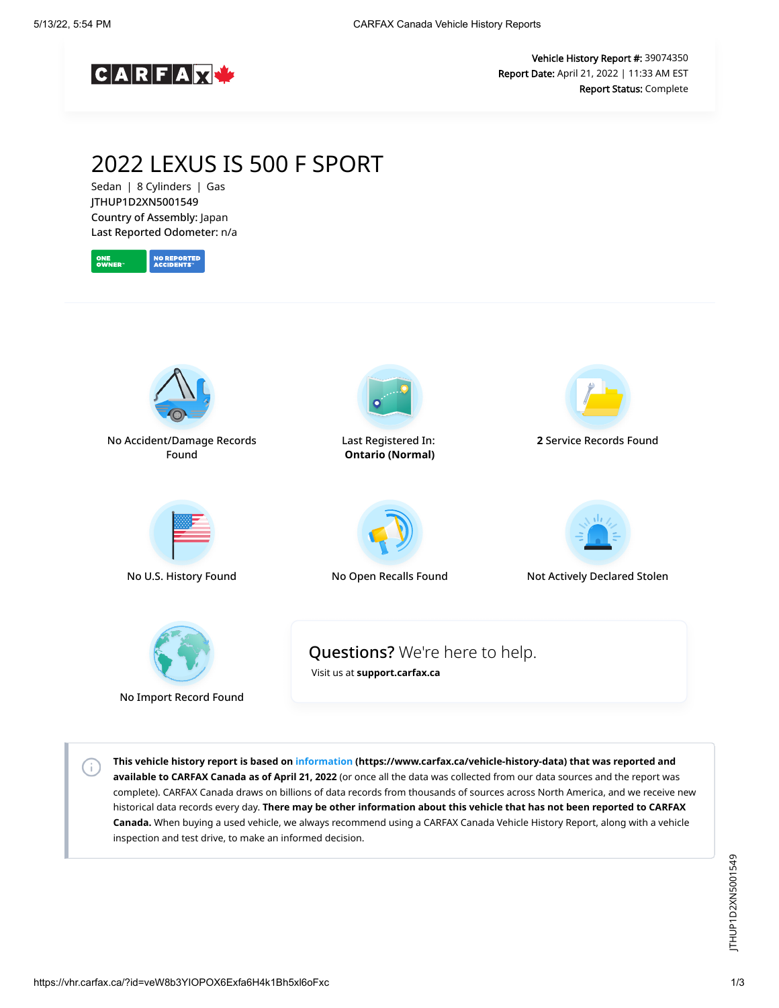

Vehicle History Report #: 39074350 Report Date: April 21, 2022 | 11:33 AM EST Report Status: Complete

## 2022 LEXUS IS 500 F SPORT

Sedan | 8 Cylinders | Gas JTHUP1D2XN5001549 Country of Assembly: Japan Last Reported Odometer: n/a





No Import Record Found

 $\left( \cdot \right)$ 

**This vehicle history report is based on [information](https://www.carfax.ca/vehicle-history-data) (https://www.carfax.ca/vehicle-history-data) that was reported and available to CARFAX Canada as of April 21, 2022** (or once all the data was collected from our data sources and the report was complete). CARFAX Canada draws on billions of data records from thousands of sources across North America, and we receive new historical data records every day. **There may be other information about this vehicle that has not been reported to CARFAX Canada.** When buying a used vehicle, we always recommend using a CARFAX Canada Vehicle History Report, along with a vehicle inspection and test drive, to make an informed decision.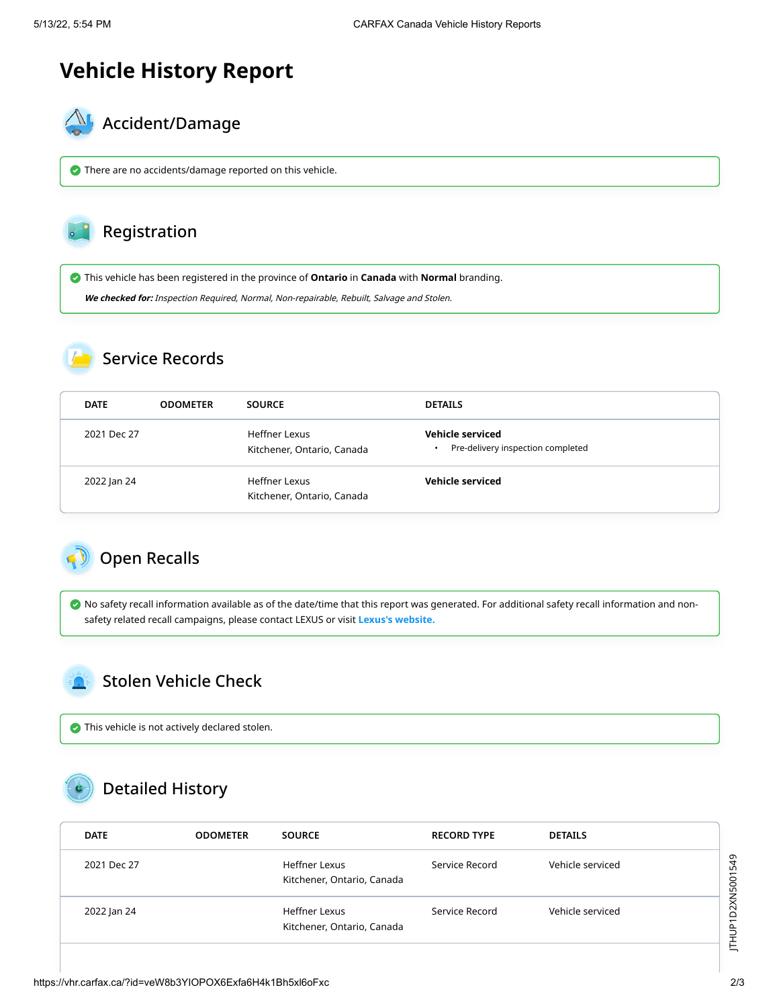# **Vehicle History Report**



There are no accidents/damage reported on this vehicle.

#### Registration

This vehicle has been registered in the province of **Ontario** in **Canada** with **Normal** branding.

**We checked for:** Inspection Required, Normal, Non-repairable, Rebuilt, Salvage and Stolen.

#### Service Records

| <b>DATE</b> | <b>ODOMETER</b> | <b>SOURCE</b>                               | <b>DETAILS</b>                                                     |
|-------------|-----------------|---------------------------------------------|--------------------------------------------------------------------|
| 2021 Dec 27 |                 | Heffner Lexus<br>Kitchener, Ontario, Canada | Vehicle serviced<br>Pre-delivery inspection completed<br>$\bullet$ |
| 2022 Jan 24 |                 | Heffner Lexus<br>Kitchener, Ontario, Canada | Vehicle serviced                                                   |

### <span id="page-1-0"></span>Open Recalls

 No safety recall information available as of the date/time that this report was generated. For additional safety recall information and nonsafety related recall campaigns, please contact LEXUS or visit **[Lexus's website.](https://www.lexus.ca/lexus/en/maintain-your-lexus/campaigns)**

#### <span id="page-1-1"></span>Stolen Vehicle Check

This vehicle is not actively declared stolen.

## Detailed History

|  | <b>DATE</b> | <b>ODOMETER</b> | <b>SOURCE</b>                               | <b>RECORD TYPE</b> | <b>DETAILS</b>   |  |
|--|-------------|-----------------|---------------------------------------------|--------------------|------------------|--|
|  | 2021 Dec 27 |                 | Heffner Lexus<br>Kitchener, Ontario, Canada | Service Record     | Vehicle serviced |  |
|  | 2022 Jan 24 |                 | Heffner Lexus<br>Kitchener, Ontario, Canada | Service Record     | Vehicle serviced |  |